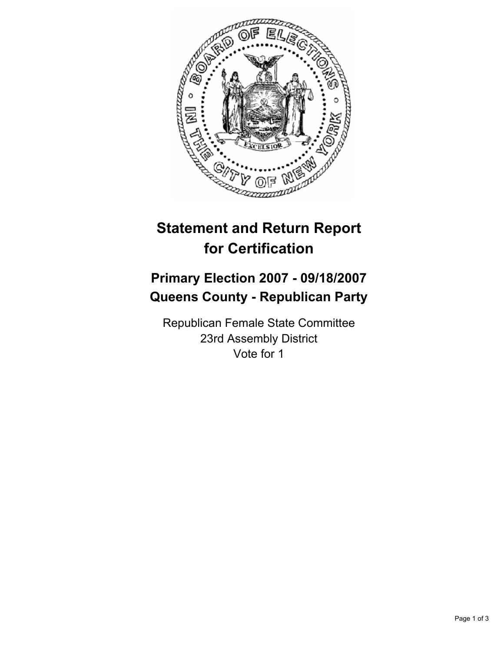

## **Statement and Return Report for Certification**

## **Primary Election 2007 - 09/18/2007 Queens County - Republican Party**

Republican Female State Committee 23rd Assembly District Vote for 1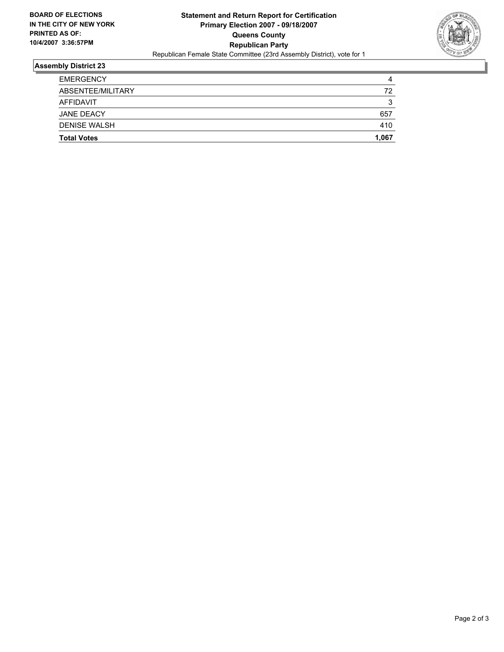

## **Assembly District 23**

| <b>EMERGENCY</b>    |        |
|---------------------|--------|
| ABSENTEE/MILITARY   | 72     |
| AFFIDAVIT           | ◠<br>v |
| JANE DEACY          | 657    |
| <b>DENISE WALSH</b> | 410    |
| <b>Total Votes</b>  | 1,067  |